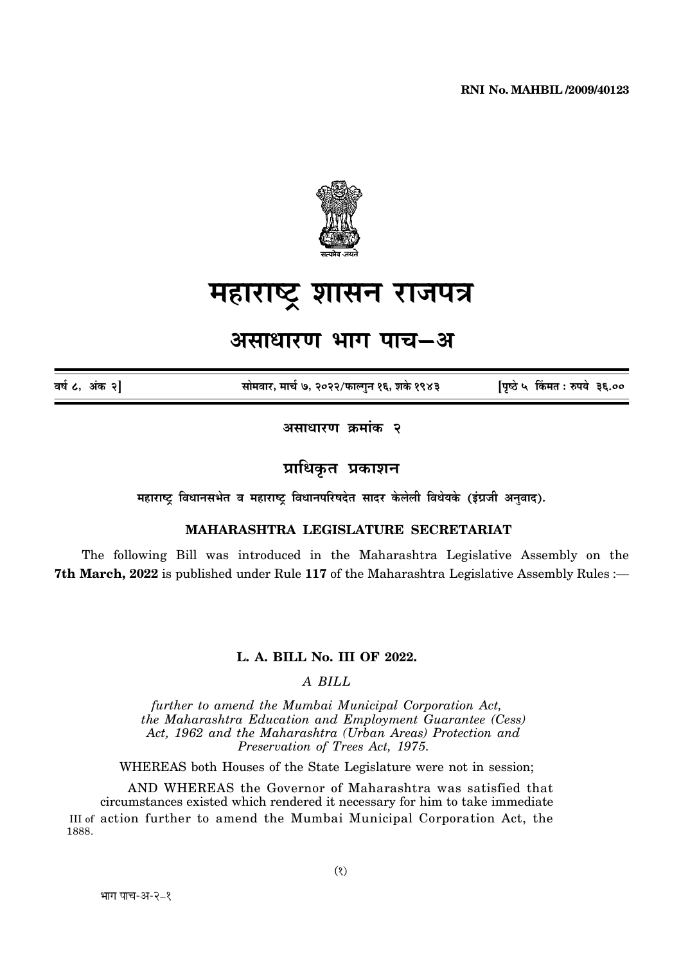

# महाराष्ट्र शासन राजपत्र

## असाधारण भाग पाच–अ

वर्ष ८, अंक २]

सोमवार, मार्च ७, २०२२/फाल्गन १६, शके १९४३

पिष्ठे ५ किंमत: रुपये ३६.००

असाधारण क्रमांक २

### प्राधिकृत प्रकाशन

महाराष्ट्र विधानसभेत व महाराष्ट्र विधानपरिषदेत सादर केलेली विधेयके (इंग्रजी अनुवाद).

#### **MAHARASHTRA LEGISLATURE SECRETARIAT**

The following Bill was introduced in the Maharashtra Legislative Assembly on the 7th March, 2022 is published under Rule 117 of the Maharashtra Legislative Assembly Rules :-

#### L. A. BILL No. III OF 2022.

A BILL

further to amend the Mumbai Municipal Corporation Act, the Maharashtra Education and Employment Guarantee (Cess) Act, 1962 and the Maharashtra (Urban Areas) Protection and Preservation of Trees Act, 1975.

WHEREAS both Houses of the State Legislature were not in session;

AND WHEREAS the Governor of Maharashtra was satisfied that circumstances existed which rendered it necessary for him to take immediate III of action further to amend the Mumbai Municipal Corporation Act, the 1888.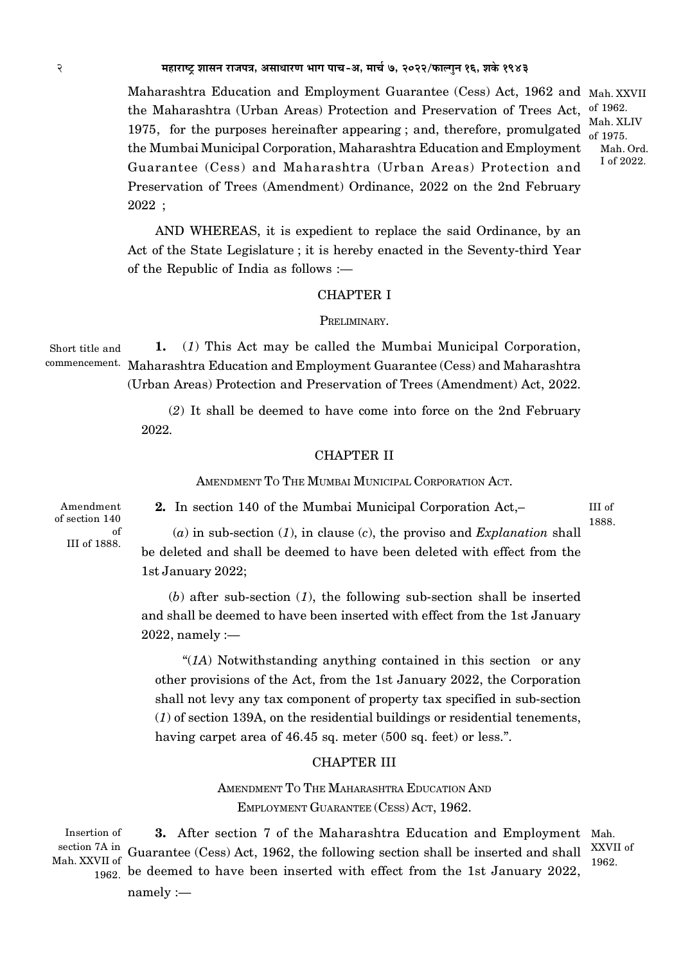Maharashtra Education and Employment Guarantee (Cess) Act, 1962 and Mah. XXVII the Maharashtra (Urban Areas) Protection and Preservation of Trees Act, 1975, for the purposes hereinafter appearing; and, therefore, promulgated the Mumbai Municipal Corporation, Maharashtra Education and Employment Guarantee (Cess) and Maharashtra (Urban Areas) Protection and Preservation of Trees (Amendment) Ordinance, 2022 on the 2nd February  $2022;$ 

AND WHEREAS, it is expedient to replace the said Ordinance, by an Act of the State Legislature; it is hereby enacted in the Seventy-third Year of the Republic of India as follows :—

#### **CHAPTER I**

#### PRELIMINARY.

1. (1) This Act may be called the Mumbai Municipal Corporation, Short title and commencement. Maharashtra Education and Employment Guarantee (Cess) and Maharashtra (Urban Areas) Protection and Preservation of Trees (Amendment) Act, 2022.

> (2) It shall be deemed to have come into force on the 2nd February 2022.

#### **CHAPTER II**

AMENDMENT TO THE MUMBAI MUNICIPAL CORPORATION ACT.

Amendment of section 140  $\alpha$ f III of 1888.

2. In section 140 of the Mumbai Municipal Corporation Act.

III of 1888.

of 1962.

of 1975

Mah. XLIV

Mah. Ord. I of 2022.

(a) in sub-section (1), in clause (c), the proviso and Explanation shall be deleted and shall be deemed to have been deleted with effect from the 1st January 2022;

(b) after sub-section  $(1)$ , the following sub-section shall be inserted and shall be deemed to have been inserted with effect from the 1st January  $2022$ , namely :-

"( $IA$ ) Notwithstanding anything contained in this section or any other provisions of the Act, from the 1st January 2022, the Corporation shall not levy any tax component of property tax specified in sub-section  $(1)$  of section 139A, on the residential buildings or residential tenements, having carpet area of 46.45 sq. meter (500 sq. feet) or less.".

#### **CHAPTER III**

AMENDMENT TO THE MAHARASHTRA EDUCATION AND EMPLOYMENT GUARANTEE (CESS) ACT, 1962.

Insertion of 3. After section 7 of the Maharashtra Education and Employment Mah. section 7A in Guarantee (Cess) Act, 1962, the following section shall be inserted and shall  $\frac{XXVII}{1000}$ Mah. XXVII of 1962  $\frac{1}{1962}$  be deemed to have been inserted with effect from the 1st January 2022,

 $namely :=$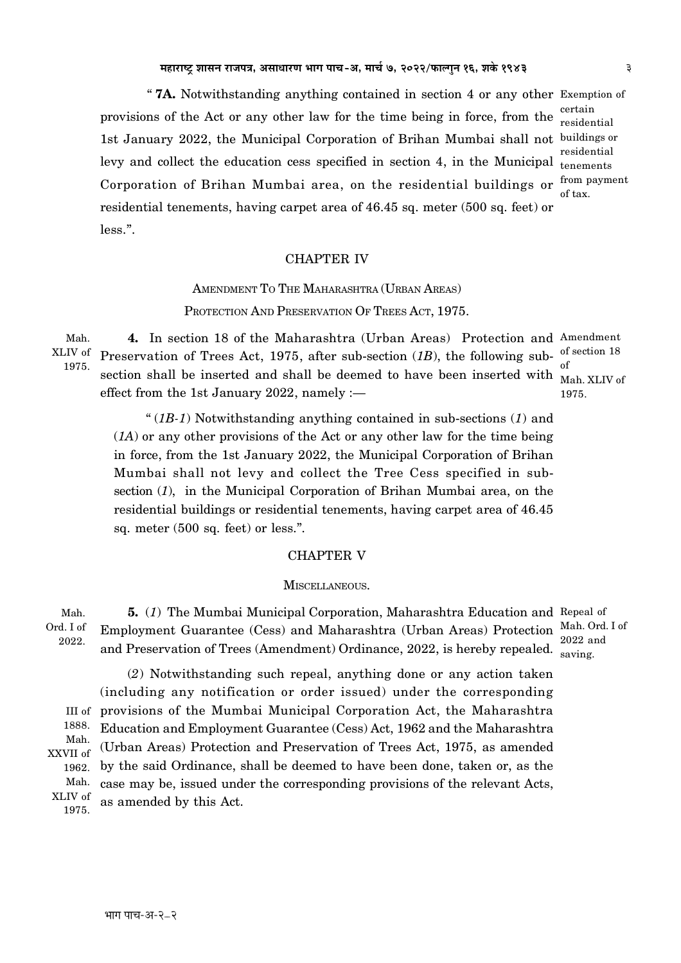" **7A.** Notwithstanding anything contained in section 4 or any other Exemption of provisions of the Act or any other law for the time being in force, from the certain 1st January 2022, the Municipal Corporation of Brihan Mumbai shall not buildings or levy and collect the education cess specified in section 4, in the Municipal <sub>tenements</sub> Corporation of Brihan Mumbai area, on the residential buildings or  $f_{\text{com}}$  payment residential tenements, having carpet area of 46.45 sq. meter (500 sq. feet) or less.".

residential residential of tax.

#### CHAPTER IV

AMENDMENT TO THE MAHARASHTRA (URBAN AREAS) PROTECTION AND PRESERVATION OF TREES ACT, 1975.

Mah. XLIV of 1975.

**4.** In section 18 of the Maharashtra (Urban Areas) Protection and Amendment Preservation of Trees Act, 1975, after sub-section  $(1B)$ , the following subsection shall be inserted and shall be deemed to have been inserted with  $\frac{1}{M}$ effect from the 1st January 2022, namely :— 1975.

Mah. XLIV of

 " (*1B-1*) Notwithstanding anything contained in sub-sections (*1*) and (*1A*) or any other provisions of the Act or any other law for the time being in force, from the 1st January 2022, the Municipal Corporation of Brihan Mumbai shall not levy and collect the Tree Cess specified in subsection (*1*), in the Municipal Corporation of Brihan Mumbai area, on the residential buildings or residential tenements, having carpet area of 46.45 sq. meter (500 sq. feet) or less.".

#### CHAPTER V

#### MISCELLANEOUS.

Mah. Ord. I of 2022.

**5.** (*1*) The Mumbai Municipal Corporation, Maharashtra Education and Repeal of Employment Guarantee (Cess) and Maharashtra (Urban Areas) Protection Mah. Ord. I of and Preservation of Trees (Amendment) Ordinance, 2022, is hereby repealed.  $\frac{1}{\text{saving}}$ .

2022 and

(*2*) Notwithstanding such repeal, anything done or any action taken (including any notification or order issued) under the corresponding provisions of the Mumbai Municipal Corporation Act, the Maharashtra Education and Employment Guarantee (Cess) Act, 1962 and the Maharashtra (Urban Areas) Protection and Preservation of Trees Act, 1975, as amended by the said Ordinance, shall be deemed to have been done, taken or, as the case may be, issued under the corresponding provisions of the relevant Acts, as amended by this Act. Mah.

III of 1888. Mah. XXVII of 1962.

XLIV of 1975.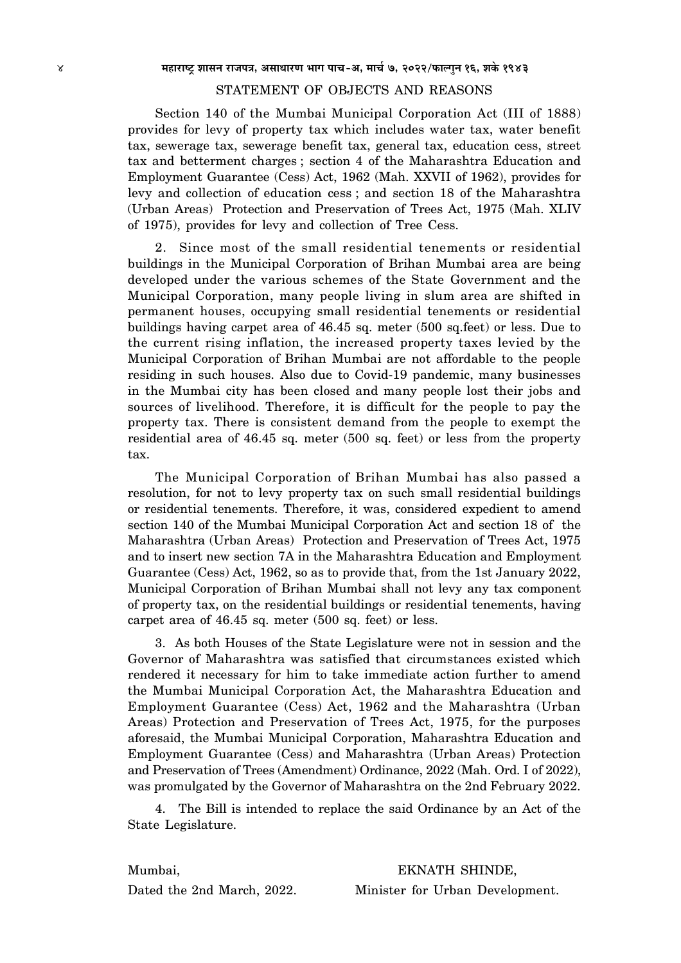#### STATEMENT OF OBJECTS AND REASONS

Section 140 of the Mumbai Municipal Corporation Act (III of 1888) provides for levy of property tax which includes water tax, water benefit tax, sewerage tax, sewerage benefit tax, general tax, education cess, street tax and betterment charges ; section 4 of the Maharashtra Education and Employment Guarantee (Cess) Act, 1962 (Mah. XXVII of 1962), provides for levy and collection of education cess ; and section 18 of the Maharashtra (Urban Areas) Protection and Preservation of Trees Act, 1975 (Mah. XLIV of 1975), provides for levy and collection of Tree Cess.

2. Since most of the small residential tenements or residential buildings in the Municipal Corporation of Brihan Mumbai area are being developed under the various schemes of the State Government and the Municipal Corporation, many people living in slum area are shifted in permanent houses, occupying small residential tenements or residential buildings having carpet area of 46.45 sq. meter (500 sq.feet) or less. Due to the current rising inflation, the increased property taxes levied by the Municipal Corporation of Brihan Mumbai are not affordable to the people residing in such houses. Also due to Covid-19 pandemic, many businesses in the Mumbai city has been closed and many people lost their jobs and sources of livelihood. Therefore, it is difficult for the people to pay the property tax. There is consistent demand from the people to exempt the residential area of 46.45 sq. meter (500 sq. feet) or less from the property tax.

The Municipal Corporation of Brihan Mumbai has also passed a resolution, for not to levy property tax on such small residential buildings or residential tenements. Therefore, it was, considered expedient to amend section 140 of the Mumbai Municipal Corporation Act and section 18 of the Maharashtra (Urban Areas) Protection and Preservation of Trees Act, 1975 and to insert new section 7A in the Maharashtra Education and Employment Guarantee (Cess) Act, 1962, so as to provide that, from the 1st January 2022, Municipal Corporation of Brihan Mumbai shall not levy any tax component of property tax, on the residential buildings or residential tenements, having carpet area of 46.45 sq. meter (500 sq. feet) or less.

3. As both Houses of the State Legislature were not in session and the Governor of Maharashtra was satisfied that circumstances existed which rendered it necessary for him to take immediate action further to amend the Mumbai Municipal Corporation Act, the Maharashtra Education and Employment Guarantee (Cess) Act, 1962 and the Maharashtra (Urban Areas) Protection and Preservation of Trees Act, 1975, for the purposes aforesaid, the Mumbai Municipal Corporation, Maharashtra Education and Employment Guarantee (Cess) and Maharashtra (Urban Areas) Protection and Preservation of Trees (Amendment) Ordinance, 2022 (Mah. Ord. I of 2022), was promulgated by the Governor of Maharashtra on the 2nd February 2022.

4. The Bill is intended to replace the said Ordinance by an Act of the State Legislature.

Mumbai, EKNATH SHINDE,

Dated the 2nd March, 2022. Minister for Urban Development.